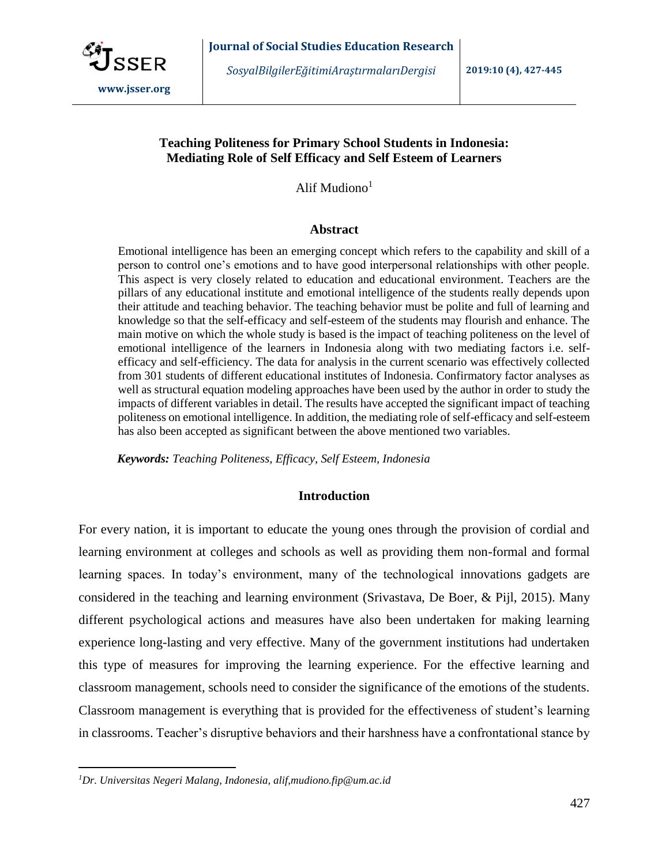

*SosyalBilgilerEğitimiAraştırmalarıDergisi* **2019:10 (4), 427-445**

# **Teaching Politeness for Primary School Students in Indonesia: Mediating Role of Self Efficacy and Self Esteem of Learners**

Alif Mudiono $<sup>1</sup>$ </sup>

# **Abstract**

Emotional intelligence has been an emerging concept which refers to the capability and skill of a person to control one's emotions and to have good interpersonal relationships with other people. This aspect is very closely related to education and educational environment. Teachers are the pillars of any educational institute and emotional intelligence of the students really depends upon their attitude and teaching behavior. The teaching behavior must be polite and full of learning and knowledge so that the self-efficacy and self-esteem of the students may flourish and enhance. The main motive on which the whole study is based is the impact of teaching politeness on the level of emotional intelligence of the learners in Indonesia along with two mediating factors i.e. selfefficacy and self-efficiency. The data for analysis in the current scenario was effectively collected from 301 students of different educational institutes of Indonesia. Confirmatory factor analyses as well as structural equation modeling approaches have been used by the author in order to study the impacts of different variables in detail. The results have accepted the significant impact of teaching politeness on emotional intelligence. In addition, the mediating role of self-efficacy and self-esteem has also been accepted as significant between the above mentioned two variables.

*Keywords: Teaching Politeness, Efficacy, Self Esteem, Indonesia* 

# **Introduction**

For every nation, it is important to educate the young ones through the provision of cordial and learning environment at colleges and schools as well as providing them non-formal and formal learning spaces. In today's environment, many of the technological innovations gadgets are considered in the teaching and learning environment [\(Srivastava, De Boer, & Pijl, 2015\)](#page-17-0). Many different psychological actions and measures have also been undertaken for making learning experience long-lasting and very effective. Many of the government institutions had undertaken this type of measures for improving the learning experience. For the effective learning and classroom management, schools need to consider the significance of the emotions of the students. Classroom management is everything that is provided for the effectiveness of student's learning in classrooms. Teacher's disruptive behaviors and their harshness have a confrontational stance by

 $\overline{a}$ 

*<sup>1</sup>Dr. Universitas Negeri Malang, Indonesia, alif,mudiono.fip@um.ac.id*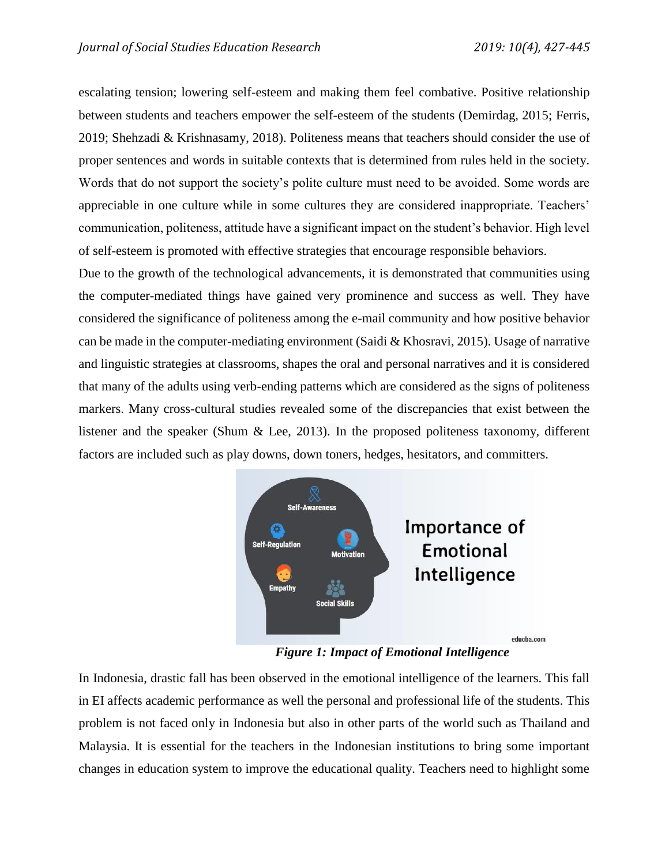escalating tension; lowering self-esteem and making them feel combative. Positive relationship between students and teachers empower the self-esteem of the students [\(Demirdag, 2015;](#page-15-0) Ferris, 2019; Shehzadi & Krishnasamy, 2018). Politeness means that teachers should consider the use of proper sentences and words in suitable contexts that is determined from rules held in the society. Words that do not support the society's polite culture must need to be avoided. Some words are appreciable in one culture while in some cultures they are considered inappropriate. Teachers' communication, politeness, attitude have a significant impact on the student's behavior. High level of self-esteem is promoted with effective strategies that encourage responsible behaviors.

Due to the growth of the technological advancements, it is demonstrated that communities using the computer-mediated things have gained very prominence and success as well. They have considered the significance of politeness among the e-mail community and how positive behavior can be made in the computer-mediating environment [\(Saidi & Khosravi, 2015\)](#page-17-1). Usage of narrative and linguistic strategies at classrooms, shapes the oral and personal narratives and it is considered that many of the adults using verb-ending patterns which are considered as the signs of politeness markers. Many cross-cultural studies revealed some of the discrepancies that exist between the listener and the speaker [\(Shum & Lee, 2013\)](#page-17-2). In the proposed politeness taxonomy, different factors are included such as play downs, down toners, hedges, hesitators, and committers.



*Figure 1: Impact of Emotional Intelligence*

In Indonesia, drastic fall has been observed in the emotional intelligence of the learners. This fall in EI affects academic performance as well the personal and professional life of the students. This problem is not faced only in Indonesia but also in other parts of the world such as Thailand and Malaysia. It is essential for the teachers in the Indonesian institutions to bring some important changes in education system to improve the educational quality. Teachers need to highlight some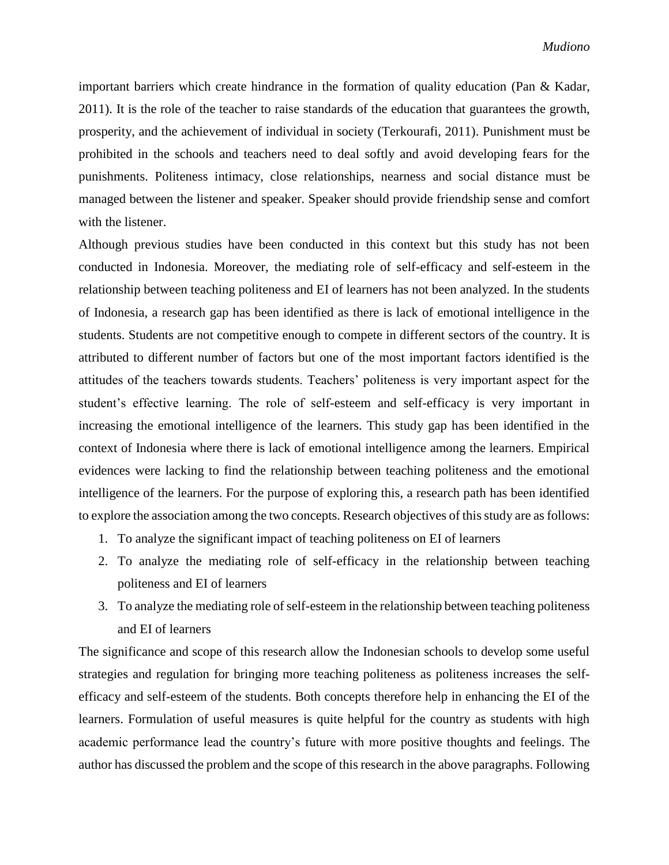important barriers which create hindrance in the formation of quality education [\(Pan & Kadar,](#page-17-3)  [2011\)](#page-17-3). It is the role of the teacher to raise standards of the education that guarantees the growth, prosperity, and the achievement of individual in society [\(Terkourafi, 2011\)](#page-17-4). Punishment must be prohibited in the schools and teachers need to deal softly and avoid developing fears for the punishments. Politeness intimacy, close relationships, nearness and social distance must be managed between the listener and speaker. Speaker should provide friendship sense and comfort with the listener.

Although previous studies have been conducted in this context but this study has not been conducted in Indonesia. Moreover, the mediating role of self-efficacy and self-esteem in the relationship between teaching politeness and EI of learners has not been analyzed. In the students of Indonesia, a research gap has been identified as there is lack of emotional intelligence in the students. Students are not competitive enough to compete in different sectors of the country. It is attributed to different number of factors but one of the most important factors identified is the attitudes of the teachers towards students. Teachers' politeness is very important aspect for the student's effective learning. The role of self-esteem and self-efficacy is very important in increasing the emotional intelligence of the learners. This study gap has been identified in the context of Indonesia where there is lack of emotional intelligence among the learners. Empirical evidences were lacking to find the relationship between teaching politeness and the emotional intelligence of the learners. For the purpose of exploring this, a research path has been identified to explore the association among the two concepts. Research objectives of this study are as follows:

- 1. To analyze the significant impact of teaching politeness on EI of learners
- 2. To analyze the mediating role of self-efficacy in the relationship between teaching politeness and EI of learners
- 3. To analyze the mediating role of self-esteem in the relationship between teaching politeness and EI of learners

The significance and scope of this research allow the Indonesian schools to develop some useful strategies and regulation for bringing more teaching politeness as politeness increases the selfefficacy and self-esteem of the students. Both concepts therefore help in enhancing the EI of the learners. Formulation of useful measures is quite helpful for the country as students with high academic performance lead the country's future with more positive thoughts and feelings. The author has discussed the problem and the scope of this research in the above paragraphs. Following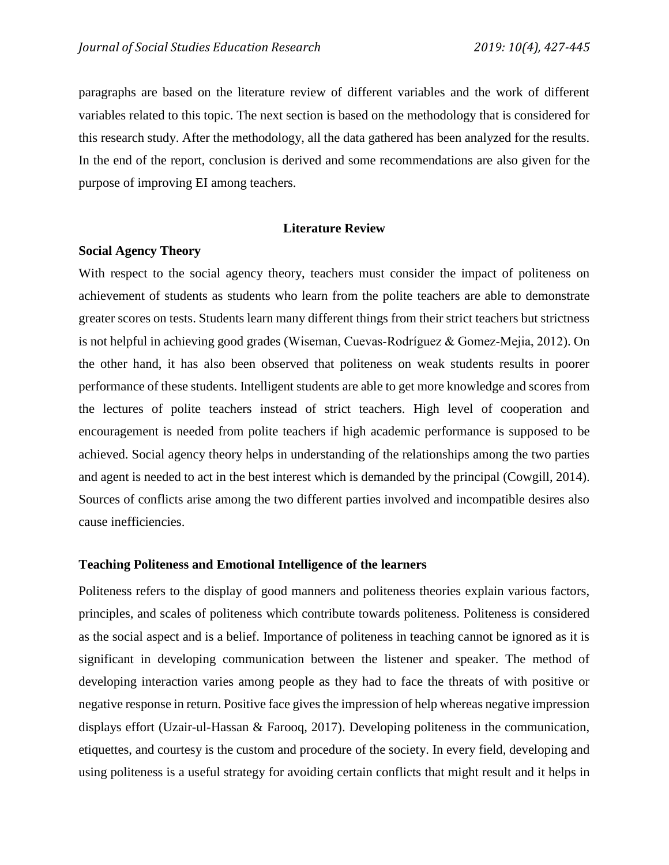paragraphs are based on the literature review of different variables and the work of different variables related to this topic. The next section is based on the methodology that is considered for this research study. After the methodology, all the data gathered has been analyzed for the results. In the end of the report, conclusion is derived and some recommendations are also given for the purpose of improving EI among teachers.

#### **Literature Review**

## **Social Agency Theory**

With respect to the social agency theory, teachers must consider the impact of politeness on achievement of students as students who learn from the polite teachers are able to demonstrate greater scores on tests. Students learn many different things from their strict teachers but strictness is not helpful in achieving good grades [\(Wiseman, Cuevas‐Rodríguez](#page-18-0) & Gomez‐Mejia, 2012). On the other hand, it has also been observed that politeness on weak students results in poorer performance of these students. Intelligent students are able to get more knowledge and scores from the lectures of polite teachers instead of strict teachers. High level of cooperation and encouragement is needed from polite teachers if high academic performance is supposed to be achieved. Social agency theory helps in understanding of the relationships among the two parties and agent is needed to act in the best interest which is demanded by the principal [\(Cowgill, 2014\)](#page-15-1). Sources of conflicts arise among the two different parties involved and incompatible desires also cause inefficiencies.

#### **Teaching Politeness and Emotional Intelligence of the learners**

Politeness refers to the display of good manners and politeness theories explain various factors, principles, and scales of politeness which contribute towards politeness. Politeness is considered as the social aspect and is a belief. Importance of politeness in teaching cannot be ignored as it is significant in developing communication between the listener and speaker. The method of developing interaction varies among people as they had to face the threats of with positive or negative response in return. Positive face gives the impression of help whereas negative impression displays effort [\(Uzair-ul-Hassan & Farooq, 2017\)](#page-18-1). Developing politeness in the communication, etiquettes, and courtesy is the custom and procedure of the society. In every field, developing and using politeness is a useful strategy for avoiding certain conflicts that might result and it helps in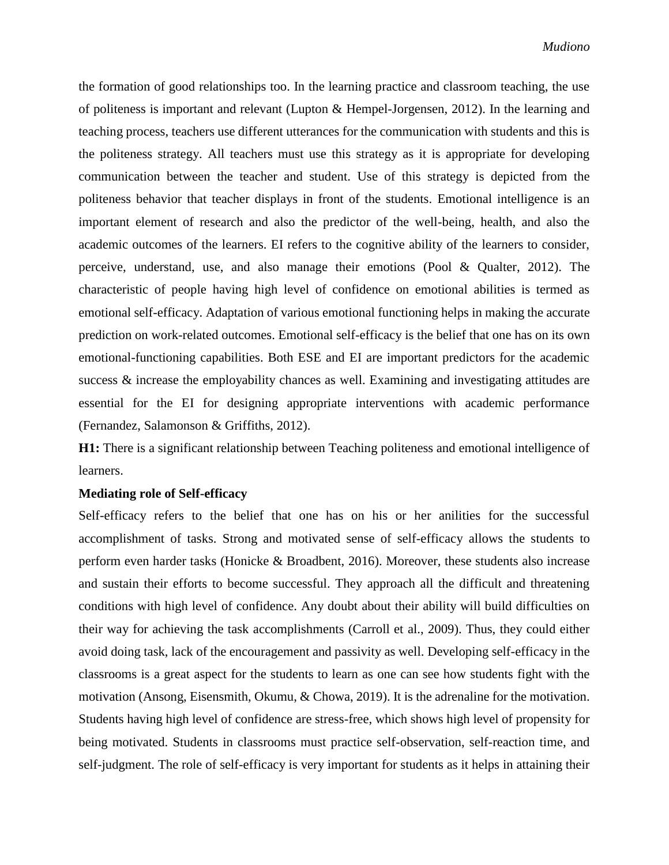the formation of good relationships too. In the learning practice and classroom teaching, the use of politeness is important and relevant [\(Lupton & Hempel-Jorgensen, 2012\)](#page-16-0). In the learning and teaching process, teachers use different utterances for the communication with students and this is the politeness strategy. All teachers must use this strategy as it is appropriate for developing communication between the teacher and student. Use of this strategy is depicted from the politeness behavior that teacher displays in front of the students. Emotional intelligence is an important element of research and also the predictor of the well-being, health, and also the academic outcomes of the learners. EI refers to the cognitive ability of the learners to consider, perceive, understand, use, and also manage their emotions [\(Pool & Qualter, 2012\)](#page-17-5). The characteristic of people having high level of confidence on emotional abilities is termed as emotional self-efficacy. Adaptation of various emotional functioning helps in making the accurate prediction on work-related outcomes. Emotional self-efficacy is the belief that one has on its own emotional-functioning capabilities. Both ESE and EI are important predictors for the academic success  $\&$  increase the employability chances as well. Examining and investigating attitudes are essential for the EI for designing appropriate interventions with academic performance [\(Fernandez, Salamonson](#page-15-2) & Griffiths, 2012).

**H1:** There is a significant relationship between Teaching politeness and emotional intelligence of learners.

## **Mediating role of Self-efficacy**

Self-efficacy refers to the belief that one has on his or her anilities for the successful accomplishment of tasks. Strong and motivated sense of self-efficacy allows the students to perform even harder tasks [\(Honicke & Broadbent, 2016\)](#page-16-1). Moreover, these students also increase and sustain their efforts to become successful. They approach all the difficult and threatening conditions with high level of confidence. Any doubt about their ability will build difficulties on their way for achieving the task accomplishments [\(Carroll et al., 2009\)](#page-15-3). Thus, they could either avoid doing task, lack of the encouragement and passivity as well. Developing self-efficacy in the classrooms is a great aspect for the students to learn as one can see how students fight with the motivation [\(Ansong, Eisensmith, Okumu, & Chowa, 2019\)](#page-15-4). It is the adrenaline for the motivation. Students having high level of confidence are stress-free, which shows high level of propensity for being motivated. Students in classrooms must practice self-observation, self-reaction time, and self-judgment. The role of self-efficacy is very important for students as it helps in attaining their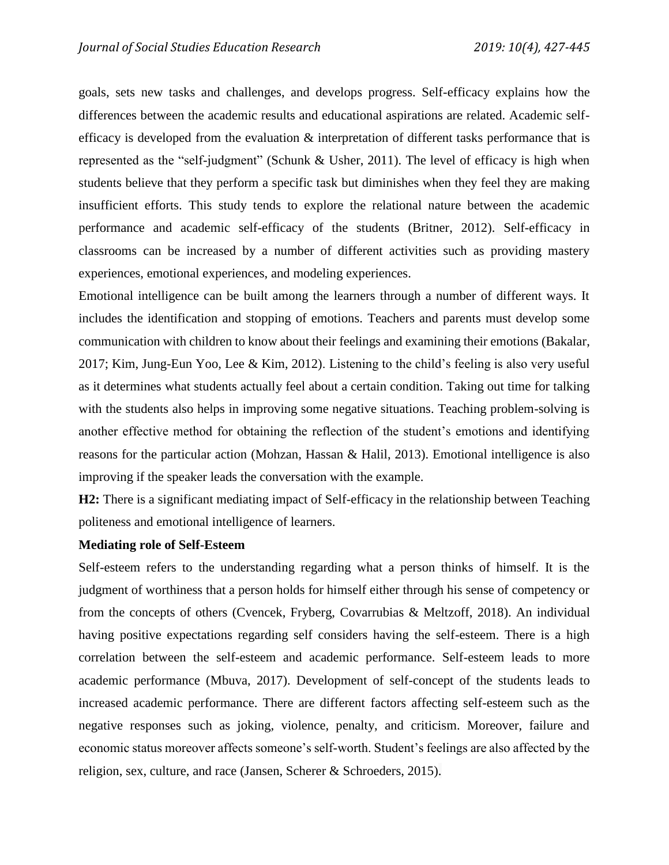goals, sets new tasks and challenges, and develops progress. Self-efficacy explains how the differences between the academic results and educational aspirations are related. Academic selfefficacy is developed from the evaluation & interpretation of different tasks performance that is represented as the "self-judgment" [\(Schunk & Usher, 2011\)](#page-17-6). The level of efficacy is high when students believe that they perform a specific task but diminishes when they feel they are making insufficient efforts. This study tends to explore the relational nature between the academic performance and academic self-efficacy of the students [\(Britner, 2012\)](#page-15-5). Self-efficacy in classrooms can be increased by a number of different activities such as providing mastery experiences, emotional experiences, and modeling experiences.

Emotional intelligence can be built among the learners through a number of different ways. It includes the identification and stopping of emotions. Teachers and parents must develop some communication with children to know about their feelings and examining their emotions (Bakalar, 2017; [Kim, Jung-Eun Yoo, Lee](#page-16-2) & Kim, 2012). Listening to the child's feeling is also very useful as it determines what students actually feel about a certain condition. Taking out time for talking with the students also helps in improving some negative situations. Teaching problem-solving is another effective method for obtaining the reflection of the student's emotions and identifying reasons for the particular action [\(Mohzan, Hassan](#page-16-3) & Halil, 2013). Emotional intelligence is also improving if the speaker leads the conversation with the example.

**H2:** There is a significant mediating impact of Self-efficacy in the relationship between Teaching politeness and emotional intelligence of learners.

#### **Mediating role of Self-Esteem**

Self-esteem refers to the understanding regarding what a person thinks of himself. It is the judgment of worthiness that a person holds for himself either through his sense of competency or from the concepts of others [\(Cvencek, Fryberg, Covarrubias](#page-15-6) & Meltzoff, 2018). An individual having positive expectations regarding self considers having the self-esteem. There is a high correlation between the self-esteem and academic performance. Self-esteem leads to more academic performance [\(Mbuva, 2017\)](#page-16-4). Development of self-concept of the students leads to increased academic performance. There are different factors affecting self-esteem such as the negative responses such as joking, violence, penalty, and criticism. Moreover, failure and economic status moreover affects someone's self-worth. Student's feelings are also affected by the religion, sex, culture, and race (Jansen, Scherer [& Schroeders, 2015\)](#page-16-5).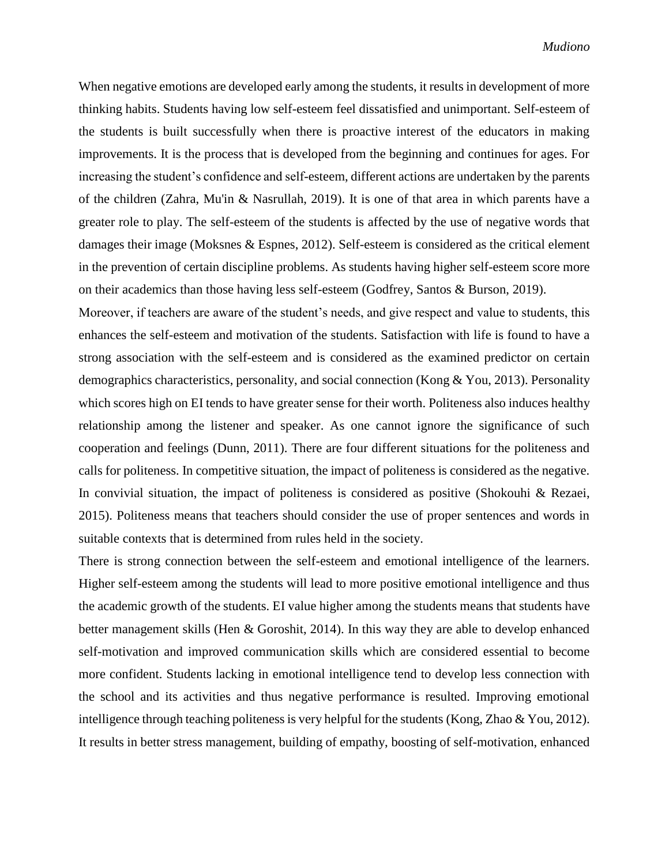When negative emotions are developed early among the students, it results in development of more thinking habits. Students having low self-esteem feel dissatisfied and unimportant. Self-esteem of the students is built successfully when there is proactive interest of the educators in making improvements. It is the process that is developed from the beginning and continues for ages. For increasing the student's confidence and self-esteem, different actions are undertaken by the parents of the children (Zahra, Mu'in [& Nasrullah, 2019\)](#page-18-2). It is one of that area in which parents have a greater role to play. The self-esteem of the students is affected by the use of negative words that damages their image [\(Moksnes & Espnes, 2012\)](#page-17-7). Self-esteem is considered as the critical element in the prevention of certain discipline problems. As students having higher self-esteem score more on their academics than those having less self-esteem [\(Godfrey, Santos](#page-16-6) & Burson, 2019).

Moreover, if teachers are aware of the student's needs, and give respect and value to students, this enhances the self-esteem and motivation of the students. Satisfaction with life is found to have a strong association with the self-esteem and is considered as the examined predictor on certain demographics characteristics, personality, and social connection [\(Kong & You, 2013\)](#page-16-7). Personality which scores high on EI tends to have greater sense for their worth. Politeness also induces healthy relationship among the listener and speaker. As one cannot ignore the significance of such cooperation and feelings [\(Dunn, 2011\)](#page-15-7). There are four different situations for the politeness and calls for politeness. In competitive situation, the impact of politeness is considered as the negative. In convivial situation, the impact of politeness is considered as positive [\(Shokouhi & Rezaei,](#page-17-8)  [2015\)](#page-17-8). Politeness means that teachers should consider the use of proper sentences and words in suitable contexts that is determined from rules held in the society.

There is strong connection between the self-esteem and emotional intelligence of the learners. Higher self-esteem among the students will lead to more positive emotional intelligence and thus the academic growth of the students. EI value higher among the students means that students have better management skills [\(Hen & Goroshit, 2014\)](#page-16-8). In this way they are able to develop enhanced self-motivation and improved communication skills which are considered essential to become more confident. Students lacking in emotional intelligence tend to develop less connection with the school and its activities and thus negative performance is resulted. Improving emotional intelligence through teaching politeness is very helpful for the students (Kong, Zhao [& You, 2012\)](#page-16-9). It results in better stress management, building of empathy, boosting of self-motivation, enhanced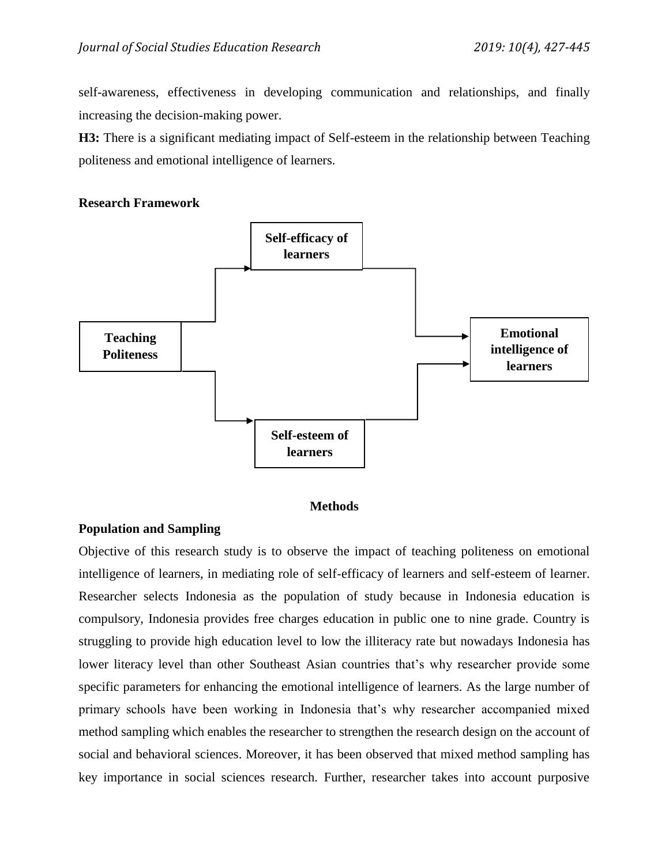self-awareness, effectiveness in developing communication and relationships, and finally increasing the decision-making power.

**H3:** There is a significant mediating impact of Self-esteem in the relationship between Teaching politeness and emotional intelligence of learners.

# **Research Framework**



## **Methods**

# **Population and Sampling**

Objective of this research study is to observe the impact of teaching politeness on emotional intelligence of learners, in mediating role of self-efficacy of learners and self-esteem of learner. Researcher selects Indonesia as the population of study because in Indonesia education is compulsory, Indonesia provides free charges education in public one to nine grade. Country is struggling to provide high education level to low the illiteracy rate but nowadays Indonesia has lower literacy level than other Southeast Asian countries that's why researcher provide some specific parameters for enhancing the emotional intelligence of learners. As the large number of primary schools have been working in Indonesia that's why researcher accompanied mixed method sampling which enables the researcher to strengthen the research design on the account of social and behavioral sciences. Moreover, it has been observed that mixed method sampling has key importance in social sciences research. Further, researcher takes into account purposive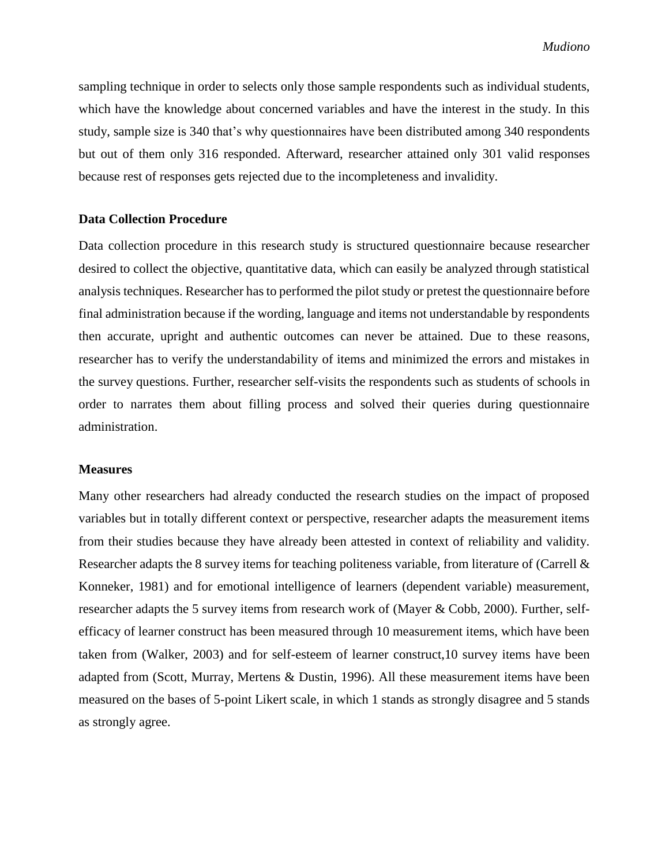sampling technique in order to selects only those sample respondents such as individual students, which have the knowledge about concerned variables and have the interest in the study. In this study, sample size is 340 that's why questionnaires have been distributed among 340 respondents but out of them only 316 responded. Afterward, researcher attained only 301 valid responses because rest of responses gets rejected due to the incompleteness and invalidity.

## **Data Collection Procedure**

Data collection procedure in this research study is structured questionnaire because researcher desired to collect the objective, quantitative data, which can easily be analyzed through statistical analysis techniques. Researcher has to performed the pilot study or pretest the questionnaire before final administration because if the wording, language and items not understandable by respondents then accurate, upright and authentic outcomes can never be attained. Due to these reasons, researcher has to verify the understandability of items and minimized the errors and mistakes in the survey questions. Further, researcher self-visits the respondents such as students of schools in order to narrates them about filling process and solved their queries during questionnaire administration.

#### **Measures**

Many other researchers had already conducted the research studies on the impact of proposed variables but in totally different context or perspective, researcher adapts the measurement items from their studies because they have already been attested in context of reliability and validity. Researcher adapts the 8 survey items for teaching politeness variable, from literature of (Carrell & Konneker, 1981) and for emotional intelligence of learners (dependent variable) measurement, researcher adapts the 5 survey items from research work of (Mayer & Cobb, 2000). Further, selfefficacy of learner construct has been measured through 10 measurement items, which have been taken from (Walker, 2003) and for self-esteem of learner construct,10 survey items have been adapted from (Scott, Murray, Mertens & Dustin, 1996). All these measurement items have been measured on the bases of 5-point Likert scale, in which 1 stands as strongly disagree and 5 stands as strongly agree.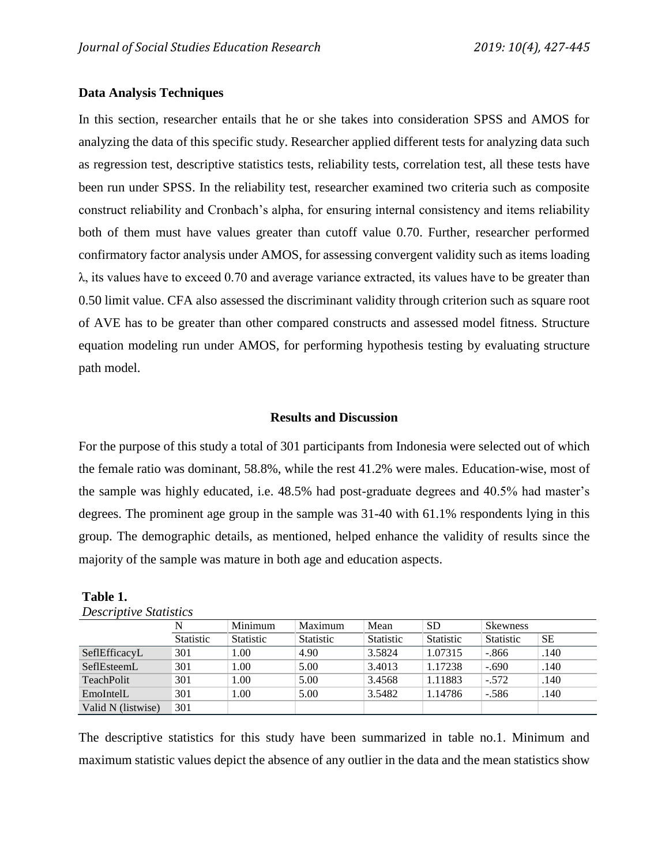# **Data Analysis Techniques**

In this section, researcher entails that he or she takes into consideration SPSS and AMOS for analyzing the data of this specific study. Researcher applied different tests for analyzing data such as regression test, descriptive statistics tests, reliability tests, correlation test, all these tests have been run under SPSS. In the reliability test, researcher examined two criteria such as composite construct reliability and Cronbach's alpha, for ensuring internal consistency and items reliability both of them must have values greater than cutoff value 0.70. Further, researcher performed confirmatory factor analysis under AMOS, for assessing convergent validity such as items loading λ, its values have to exceed 0.70 and average variance extracted, its values have to be greater than 0.50 limit value. CFA also assessed the discriminant validity through criterion such as square root of AVE has to be greater than other compared constructs and assessed model fitness. Structure equation modeling run under AMOS, for performing hypothesis testing by evaluating structure path model.

# **Results and Discussion**

For the purpose of this study a total of 301 participants from Indonesia were selected out of which the female ratio was dominant, 58.8%, while the rest 41.2% were males. Education-wise, most of the sample was highly educated, i.e. 48.5% had post-graduate degrees and 40.5% had master's degrees. The prominent age group in the sample was 31-40 with 61.1% respondents lying in this group. The demographic details, as mentioned, helped enhance the validity of results since the majority of the sample was mature in both age and education aspects.

| <i>Descriptive Statistics</i> |                  |                  |                  |                  |                  |                  |      |
|-------------------------------|------------------|------------------|------------------|------------------|------------------|------------------|------|
|                               | N                | Minimum          | Maximum          | Mean             | <b>SD</b>        | <b>Skewness</b>  |      |
|                               | <b>Statistic</b> | <b>Statistic</b> | <b>Statistic</b> | <b>Statistic</b> | <b>Statistic</b> | <b>Statistic</b> | SЕ   |
| SeflEfficacyL                 | 301              | .00              | 4.90             | 3.5824           | 1.07315          | $-.866$          | .140 |
| SeflEsteemL                   | 301              | $00$ .           | 5.00             | 3.4013           | 1.17238          | $-.690$          | .140 |
| <b>TeachPolit</b>             | 301              | $00$ .           | 5.00             | 3.4568           | 1.11883          | $-.572$          | .140 |
| EmoIntelL                     | 301              | 00.1             | 5.00             | 3.5482           | 1.14786          | $-.586$          | .140 |
| Valid N (listwise)            | 301              |                  |                  |                  |                  |                  |      |

**Table 1. Lating**<br>Provintive Statistic

The descriptive statistics for this study have been summarized in table no.1. Minimum and maximum statistic values depict the absence of any outlier in the data and the mean statistics show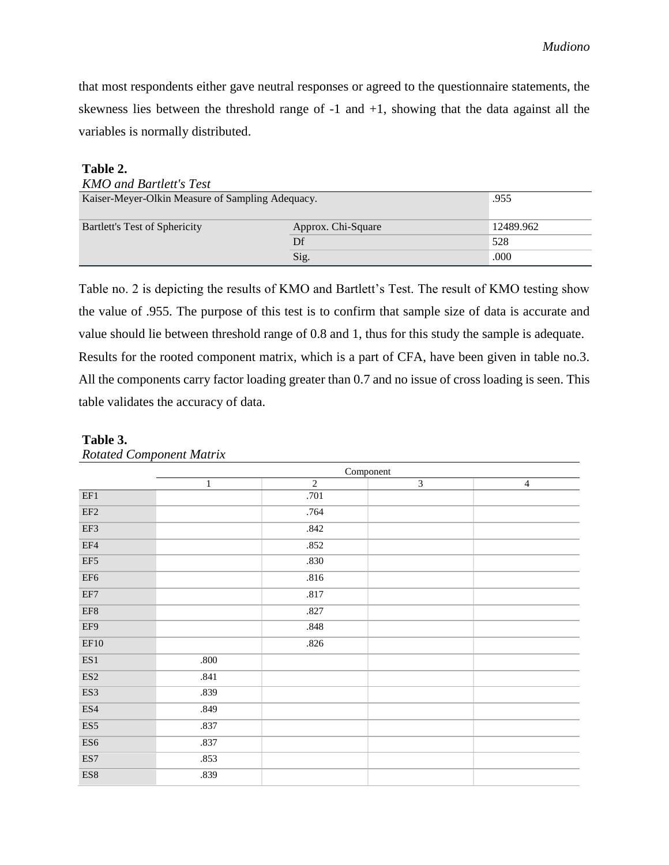that most respondents either gave neutral responses or agreed to the questionnaire statements, the skewness lies between the threshold range of  $-1$  and  $+1$ , showing that the data against all the variables is normally distributed.

### **Table 2.**

| <b>KMO</b> and Bartlett's Test                           |                    |           |  |  |  |
|----------------------------------------------------------|--------------------|-----------|--|--|--|
| .955<br>Kaiser-Meyer-Olkin Measure of Sampling Adequacy. |                    |           |  |  |  |
|                                                          |                    |           |  |  |  |
| Bartlett's Test of Sphericity                            | Approx. Chi-Square | 12489.962 |  |  |  |
|                                                          | Df                 | 528       |  |  |  |
| .000<br>Sig.                                             |                    |           |  |  |  |

Table no. 2 is depicting the results of KMO and Bartlett's Test. The result of KMO testing show the value of .955. The purpose of this test is to confirm that sample size of data is accurate and value should lie between threshold range of 0.8 and 1, thus for this study the sample is adequate. Results for the rooted component matrix, which is a part of CFA, have been given in table no.3. All the components carry factor loading greater than 0.7 and no issue of cross loading is seen. This table validates the accuracy of data.

|                           | Component    |                |                |                |
|---------------------------|--------------|----------------|----------------|----------------|
|                           | $\mathbf{1}$ | $\overline{2}$ | $\overline{3}$ | $\overline{4}$ |
| EF1                       |              | .701           |                |                |
| $\rm EF2$                 |              | .764           |                |                |
| EF3                       |              | .842           |                |                |
| EF4                       |              | .852           |                |                |
| EF5                       |              | $.830\,$       |                |                |
| EF <sub>6</sub>           |              | .816           |                |                |
| EF7                       |              | .817           |                |                |
| EF8                       |              | .827           |                |                |
| EF9                       |              | .848           |                |                |
| EF10                      |              | .826           |                |                |
| ES1                       | $.800\,$     |                |                |                |
| $\mathop{\hbox{\rm ES2}}$ | .841         |                |                |                |
| ES3                       | .839         |                |                |                |
| ES4                       | .849         |                |                |                |
| ES5                       | .837         |                |                |                |
| ES <sub>6</sub>           | .837         |                |                |                |
| $\mathop{\hbox{\rm ES7}}$ | .853         |                |                |                |
| $_{\rm ES8}$              | .839         |                |                |                |

## **Table 3.**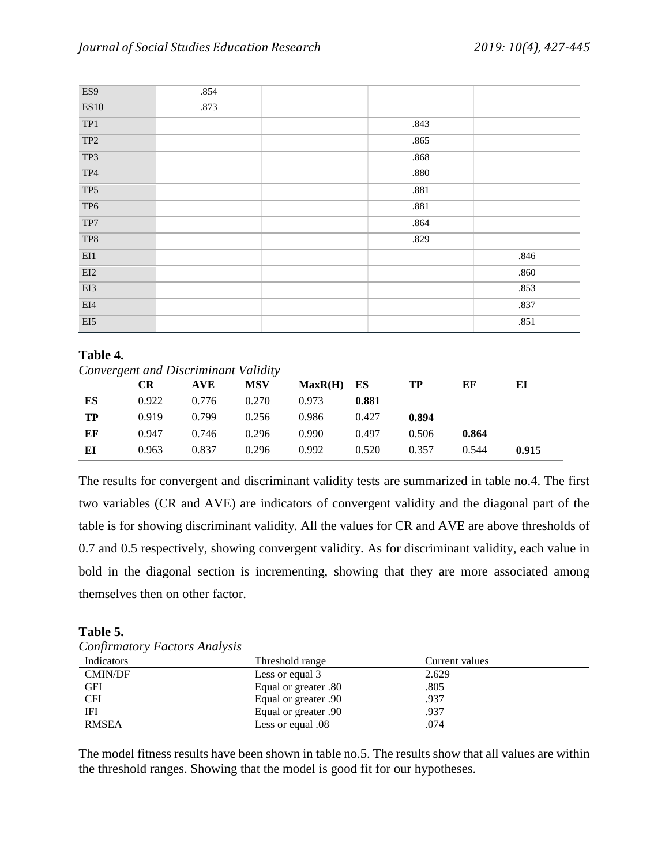| ES9                                               | .854 |          |        |
|---------------------------------------------------|------|----------|--------|
| <b>ES10</b>                                       | .873 |          |        |
| TP1                                               |      | .843     |        |
| TP <sub>2</sub>                                   |      | .865     |        |
| TP3                                               |      | .868     |        |
| $\operatorname{TP4}$                              |      | $.880\,$ |        |
| TP5                                               |      | .881     |        |
| TP <sub>6</sub>                                   |      | .881     |        |
| $\operatorname{TP7}$                              |      | .864     |        |
| TP8                                               |      | .829     |        |
| $\mathop{\rm E}\nolimits\mathop{\rm I}\nolimits1$ |      |          | .846   |
| EI2                                               |      |          | $.860$ |
| EI3                                               |      |          | .853   |
| EI4                                               |      |          | .837   |
| $\mathrm{EI}5$                                    |      |          | .851   |

# **Table 4.**

|    | Convergent and Discriminant Validity |       |            |         |       |       |       |       |
|----|--------------------------------------|-------|------------|---------|-------|-------|-------|-------|
|    | <b>CR</b>                            | AVE   | <b>MSV</b> | MaxR(H) | ES    | TP    | ЕF    | ЕI    |
| ES | 0.922                                | 0.776 | 0.270      | 0.973   | 0.881 |       |       |       |
| TP | 0.919                                | 0.799 | 0.256      | 0.986   | 0.427 | 0.894 |       |       |
| EF | 0.947                                | 0.746 | 0.296      | 0.990   | 0.497 | 0.506 | 0.864 |       |
| ЕI | 0.963                                | 0.837 | 0.296      | 0.992   | 0.520 | 0.357 | 0.544 | 0.915 |

The results for convergent and discriminant validity tests are summarized in table no.4. The first two variables (CR and AVE) are indicators of convergent validity and the diagonal part of the table is for showing discriminant validity. All the values for CR and AVE are above thresholds of 0.7 and 0.5 respectively, showing convergent validity. As for discriminant validity, each value in bold in the diagonal section is incrementing, showing that they are more associated among themselves then on other factor.

## **Table 5.**

| <b>Confirmatory Factors Analysis</b> |  |
|--------------------------------------|--|
|                                      |  |

| Indicators     | Threshold range      | Current values |
|----------------|----------------------|----------------|
| <b>CMIN/DF</b> | Less or equal 3      | 2.629          |
| GFI            | Equal or greater .80 | .805           |
| <b>CFI</b>     | Equal or greater .90 | .937           |
| IFI            | Equal or greater .90 | .937           |
| <b>RMSEA</b>   | Less or equal .08    | .074           |

The model fitness results have been shown in table no.5. The results show that all values are within the threshold ranges. Showing that the model is good fit for our hypotheses.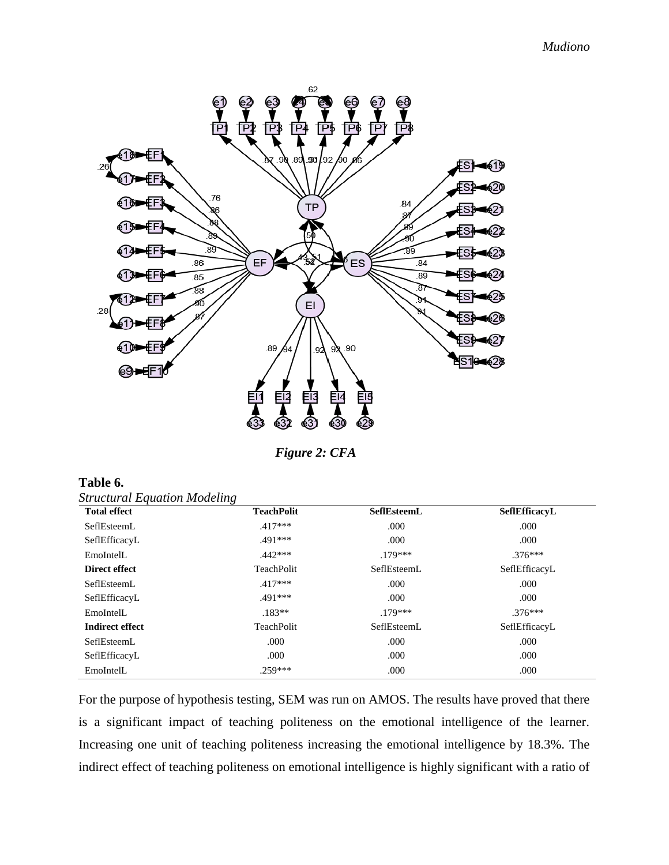

*Figure 2: CFA*

| Table 6.                            |  |
|-------------------------------------|--|
| <b>Structural Equation Modeling</b> |  |

| <b>Total effect</b>    | <b>TeachPolit</b> | <b>SefIEsteemL</b> | Sef1EfficacvL |
|------------------------|-------------------|--------------------|---------------|
| SeflEsteemL            | $.417***$         | .000               | .000          |
| SeflEfficacyL          | .491***           | .000               | .000          |
| EmoIntelL              | $442***$          | $179***$           | $.376***$     |
| Direct effect          | TeachPolit        | SeflEsteemL        | SeflEfficacyL |
| SeflEsteemL            | $.417***$         | .000               | .000          |
| SeflEfficacyL          | .491***           | .000               | .000          |
| EmoIntelL              | $.183**$          | $.179***$          | $.376***$     |
| <b>Indirect effect</b> | TeachPolit        | SeflEsteemL        | SeflEfficacyL |
| SeflEsteemL            | .000              | .000               | .000          |
| SeflEfficacyL          | .000              | .000               | .000          |
| EmoIntelL              | 259***            | .000               | .000          |

For the purpose of hypothesis testing, SEM was run on AMOS. The results have proved that there is a significant impact of teaching politeness on the emotional intelligence of the learner. Increasing one unit of teaching politeness increasing the emotional intelligence by 18.3%. The indirect effect of teaching politeness on emotional intelligence is highly significant with a ratio of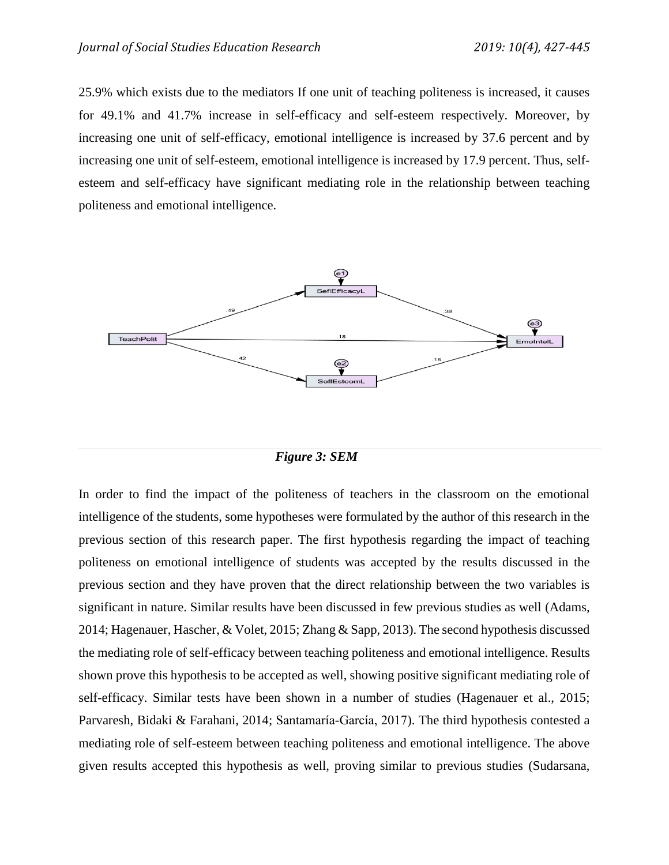25.9% which exists due to the mediators If one unit of teaching politeness is increased, it causes for 49.1% and 41.7% increase in self-efficacy and self-esteem respectively. Moreover, by increasing one unit of self-efficacy, emotional intelligence is increased by 37.6 percent and by increasing one unit of self-esteem, emotional intelligence is increased by 17.9 percent. Thus, selfesteem and self-efficacy have significant mediating role in the relationship between teaching politeness and emotional intelligence.



*Figure 3: SEM*

In order to find the impact of the politeness of teachers in the classroom on the emotional intelligence of the students, some hypotheses were formulated by the author of this research in the previous section of this research paper. The first hypothesis regarding the impact of teaching politeness on emotional intelligence of students was accepted by the results discussed in the previous section and they have proven that the direct relationship between the two variables is significant in nature. Similar results have been discussed in few previous studies as well [\(Adams,](#page-15-8)  [2014;](#page-15-8) [Hagenauer, Hascher, & Volet, 2015;](#page-16-10) [Zhang & Sapp, 2013\)](#page-18-3). The second hypothesis discussed the mediating role of self-efficacy between teaching politeness and emotional intelligence. Results shown prove this hypothesis to be accepted as well, showing positive significant mediating role of self-efficacy. Similar tests have been shown in a number of studies [\(Hagenauer et al., 2015;](#page-16-10) Parvaresh, Bidaki [& Farahani, 2014;](#page-17-9) [Santamaría-García, 2017\)](#page-17-10). The third hypothesis contested a mediating role of self-esteem between teaching politeness and emotional intelligence. The above given results accepted this hypothesis as well, proving similar to previous studies [\(Sudarsana,](#page-17-11)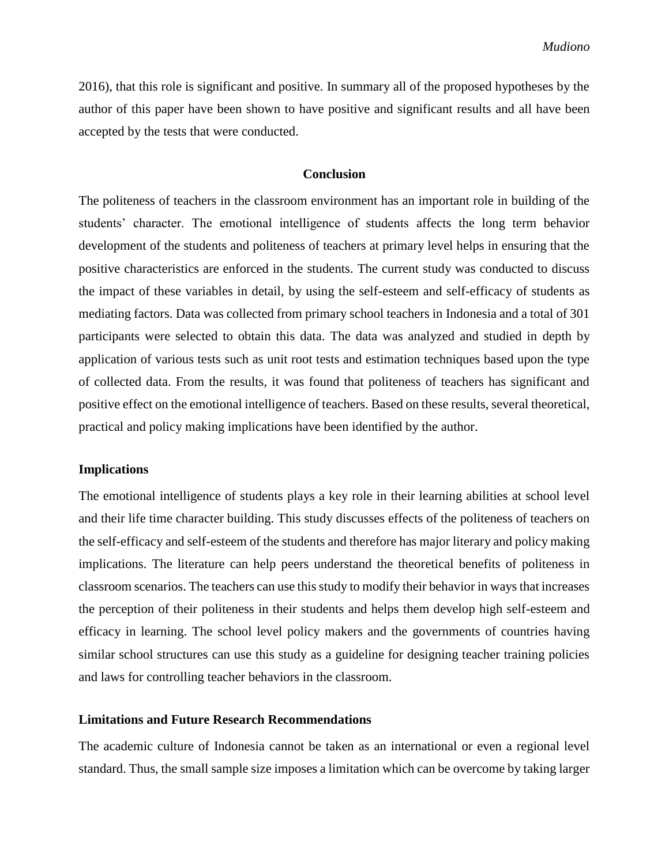[2016\)](#page-17-11), that this role is significant and positive. In summary all of the proposed hypotheses by the author of this paper have been shown to have positive and significant results and all have been accepted by the tests that were conducted.

# **Conclusion**

The politeness of teachers in the classroom environment has an important role in building of the students' character. The emotional intelligence of students affects the long term behavior development of the students and politeness of teachers at primary level helps in ensuring that the positive characteristics are enforced in the students. The current study was conducted to discuss the impact of these variables in detail, by using the self-esteem and self-efficacy of students as mediating factors. Data was collected from primary school teachers in Indonesia and a total of 301 participants were selected to obtain this data. The data was analyzed and studied in depth by application of various tests such as unit root tests and estimation techniques based upon the type of collected data. From the results, it was found that politeness of teachers has significant and positive effect on the emotional intelligence of teachers. Based on these results, several theoretical, practical and policy making implications have been identified by the author.

#### **Implications**

The emotional intelligence of students plays a key role in their learning abilities at school level and their life time character building. This study discusses effects of the politeness of teachers on the self-efficacy and self-esteem of the students and therefore has major literary and policy making implications. The literature can help peers understand the theoretical benefits of politeness in classroom scenarios. The teachers can use this study to modify their behavior in ways that increases the perception of their politeness in their students and helps them develop high self-esteem and efficacy in learning. The school level policy makers and the governments of countries having similar school structures can use this study as a guideline for designing teacher training policies and laws for controlling teacher behaviors in the classroom.

# **Limitations and Future Research Recommendations**

The academic culture of Indonesia cannot be taken as an international or even a regional level standard. Thus, the small sample size imposes a limitation which can be overcome by taking larger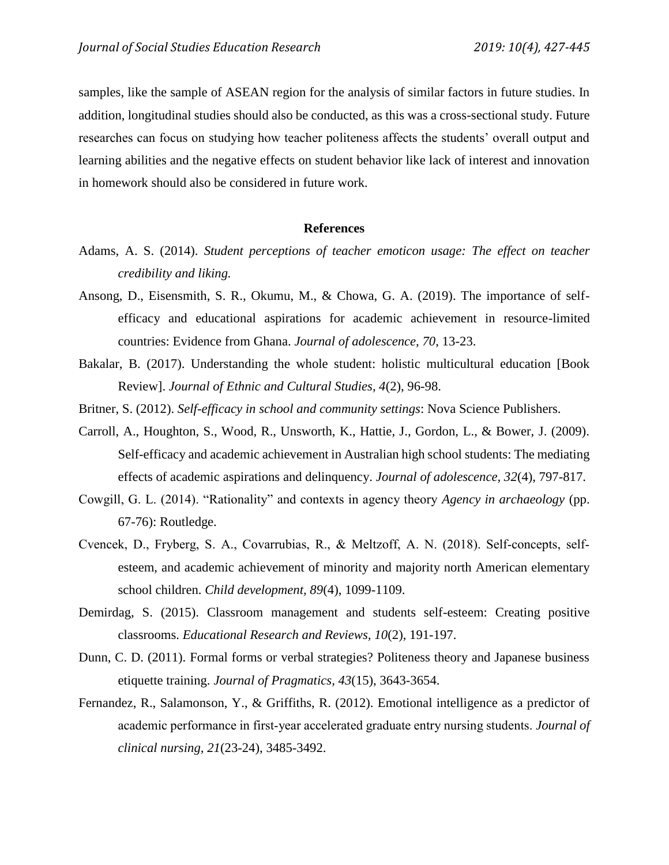samples, like the sample of ASEAN region for the analysis of similar factors in future studies. In addition, longitudinal studies should also be conducted, as this was a cross-sectional study. Future researches can focus on studying how teacher politeness affects the students' overall output and learning abilities and the negative effects on student behavior like lack of interest and innovation in homework should also be considered in future work.

#### **References**

- <span id="page-15-8"></span>Adams, A. S. (2014). *Student perceptions of teacher emoticon usage: The effect on teacher credibility and liking.*
- <span id="page-15-4"></span>Ansong, D., Eisensmith, S. R., Okumu, M., & Chowa, G. A. (2019). The importance of selfefficacy and educational aspirations for academic achievement in resource-limited countries: Evidence from Ghana. *Journal of adolescence, 70*, 13-23.
- <span id="page-15-5"></span>Bakalar, B. (2017). Understanding the whole student: holistic multicultural education [Book Review]. *Journal of Ethnic and Cultural Studies, 4*(2), 96-98.
- Britner, S. (2012). *Self-efficacy in school and community settings*: Nova Science Publishers.
- <span id="page-15-3"></span>Carroll, A., Houghton, S., Wood, R., Unsworth, K., Hattie, J., Gordon, L., & Bower, J. (2009). Self-efficacy and academic achievement in Australian high school students: The mediating effects of academic aspirations and delinquency. *Journal of adolescence, 32*(4), 797-817.
- <span id="page-15-1"></span>Cowgill, G. L. (2014). "Rationality" and contexts in agency theory *Agency in archaeology* (pp. 67-76): Routledge.
- <span id="page-15-6"></span>Cvencek, D., Fryberg, S. A., Covarrubias, R., & Meltzoff, A. N. (2018). Self‐concepts, self‐ esteem, and academic achievement of minority and majority north American elementary school children. *Child development, 89*(4), 1099-1109.
- <span id="page-15-0"></span>Demirdag, S. (2015). Classroom management and students self-esteem: Creating positive classrooms. *Educational Research and Reviews, 10*(2), 191-197.
- <span id="page-15-7"></span>Dunn, C. D. (2011). Formal forms or verbal strategies? Politeness theory and Japanese business etiquette training. *Journal of Pragmatics, 43*(15), 3643-3654.
- <span id="page-15-2"></span>Fernandez, R., Salamonson, Y., & Griffiths, R. (2012). Emotional intelligence as a predictor of academic performance in first‐year accelerated graduate entry nursing students. *Journal of clinical nursing, 21*(23-24), 3485-3492.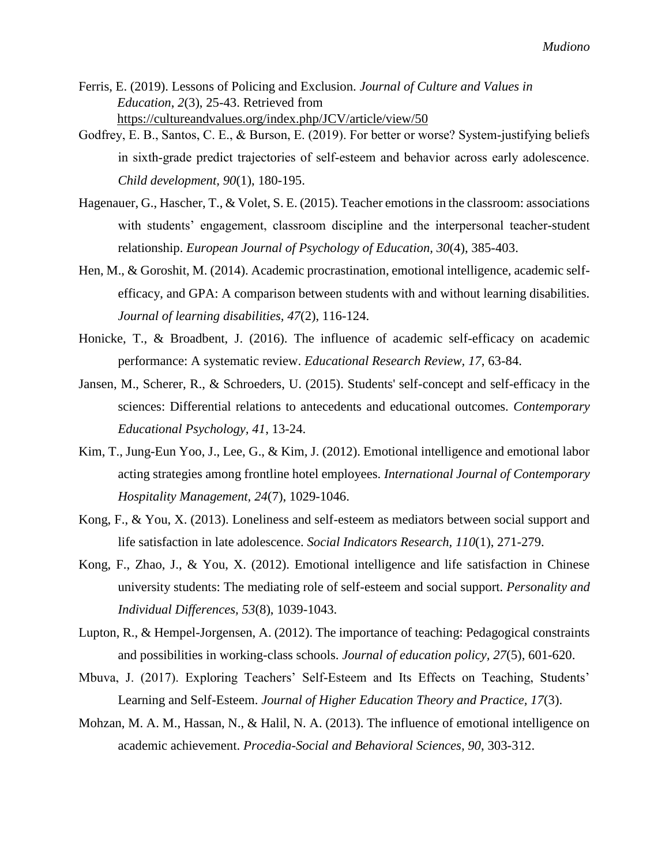- <span id="page-16-6"></span>Ferris, E. (2019). Lessons of Policing and Exclusion. *Journal of Culture and Values in Education*, *2*(3), 25-43. Retrieved from <https://cultureandvalues.org/index.php/JCV/article/view/50>
- Godfrey, E. B., Santos, C. E., & Burson, E. (2019). For better or worse? System-justifying beliefs in sixth‐grade predict trajectories of self‐esteem and behavior across early adolescence. *Child development, 90*(1), 180-195.
- <span id="page-16-10"></span>Hagenauer, G., Hascher, T., & Volet, S. E. (2015). Teacher emotions in the classroom: associations with students' engagement, classroom discipline and the interpersonal teacher-student relationship. *European Journal of Psychology of Education, 30*(4), 385-403.
- <span id="page-16-8"></span>Hen, M., & Goroshit, M. (2014). Academic procrastination, emotional intelligence, academic selfefficacy, and GPA: A comparison between students with and without learning disabilities. *Journal of learning disabilities, 47*(2), 116-124.
- <span id="page-16-1"></span>Honicke, T., & Broadbent, J. (2016). The influence of academic self-efficacy on academic performance: A systematic review. *Educational Research Review, 17*, 63-84.
- <span id="page-16-5"></span>Jansen, M., Scherer, R., & Schroeders, U. (2015). Students' self-concept and self-efficacy in the sciences: Differential relations to antecedents and educational outcomes. *Contemporary Educational Psychology, 41*, 13-24.
- <span id="page-16-2"></span>Kim, T., Jung-Eun Yoo, J., Lee, G., & Kim, J. (2012). Emotional intelligence and emotional labor acting strategies among frontline hotel employees. *International Journal of Contemporary Hospitality Management, 24*(7), 1029-1046.
- <span id="page-16-7"></span>Kong, F., & You, X. (2013). Loneliness and self-esteem as mediators between social support and life satisfaction in late adolescence. *Social Indicators Research, 110*(1), 271-279.
- <span id="page-16-9"></span>Kong, F., Zhao, J., & You, X. (2012). Emotional intelligence and life satisfaction in Chinese university students: The mediating role of self-esteem and social support. *Personality and Individual Differences, 53*(8), 1039-1043.
- <span id="page-16-0"></span>Lupton, R., & Hempel-Jorgensen, A. (2012). The importance of teaching: Pedagogical constraints and possibilities in working-class schools. *Journal of education policy, 27*(5), 601-620.
- <span id="page-16-4"></span>Mbuva, J. (2017). Exploring Teachers' Self-Esteem and Its Effects on Teaching, Students' Learning and Self-Esteem. *Journal of Higher Education Theory and Practice, 17*(3).
- <span id="page-16-3"></span>Mohzan, M. A. M., Hassan, N., & Halil, N. A. (2013). The influence of emotional intelligence on academic achievement. *Procedia-Social and Behavioral Sciences, 90*, 303-312.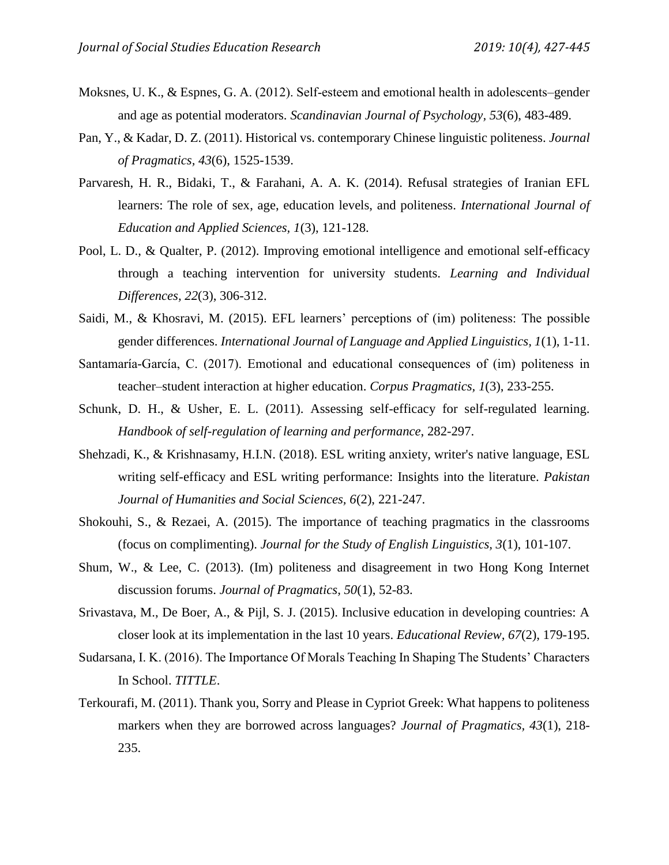- <span id="page-17-7"></span>Moksnes, U. K., & Espnes, G. A. (2012). Self-esteem and emotional health in adolescents–gender and age as potential moderators. *Scandinavian Journal of Psychology, 53*(6), 483-489.
- <span id="page-17-3"></span>Pan, Y., & Kadar, D. Z. (2011). Historical vs. contemporary Chinese linguistic politeness. *Journal of Pragmatics, 43*(6), 1525-1539.
- <span id="page-17-9"></span>Parvaresh, H. R., Bidaki, T., & Farahani, A. A. K. (2014). Refusal strategies of Iranian EFL learners: The role of sex, age, education levels, and politeness. *International Journal of Education and Applied Sciences, 1*(3), 121-128.
- <span id="page-17-5"></span>Pool, L. D., & Qualter, P. (2012). Improving emotional intelligence and emotional self-efficacy through a teaching intervention for university students. *Learning and Individual Differences, 22*(3), 306-312.
- <span id="page-17-1"></span>Saidi, M., & Khosravi, M. (2015). EFL learners' perceptions of (im) politeness: The possible gender differences. *International Journal of Language and Applied Linguistics, 1*(1), 1-11.
- <span id="page-17-10"></span>Santamaría-García, C. (2017). Emotional and educational consequences of (im) politeness in teacher–student interaction at higher education. *Corpus Pragmatics, 1*(3), 233-255.
- <span id="page-17-6"></span>Schunk, D. H., & Usher, E. L. (2011). Assessing self-efficacy for self-regulated learning. *Handbook of self-regulation of learning and performance*, 282-297.
- <span id="page-17-8"></span>Shehzadi, K., & Krishnasamy, H.I.N. (2018). ESL writing anxiety, writer's native language, ESL writing self-efficacy and ESL writing performance: Insights into the literature. *Pakistan Journal of Humanities and Social Sciences, 6*(2), 221-247.
- Shokouhi, S., & Rezaei, A. (2015). The importance of teaching pragmatics in the classrooms (focus on complimenting). *Journal for the Study of English Linguistics, 3*(1), 101-107.
- <span id="page-17-2"></span>Shum, W., & Lee, C. (2013). (Im) politeness and disagreement in two Hong Kong Internet discussion forums. *Journal of Pragmatics, 50*(1), 52-83.
- <span id="page-17-0"></span>Srivastava, M., De Boer, A., & Pijl, S. J. (2015). Inclusive education in developing countries: A closer look at its implementation in the last 10 years. *Educational Review, 67*(2), 179-195.
- <span id="page-17-11"></span>Sudarsana, I. K. (2016). The Importance Of Morals Teaching In Shaping The Students' Characters In School. *TITTLE*.
- <span id="page-17-4"></span>Terkourafi, M. (2011). Thank you, Sorry and Please in Cypriot Greek: What happens to politeness markers when they are borrowed across languages? *Journal of Pragmatics, 43*(1), 218- 235.